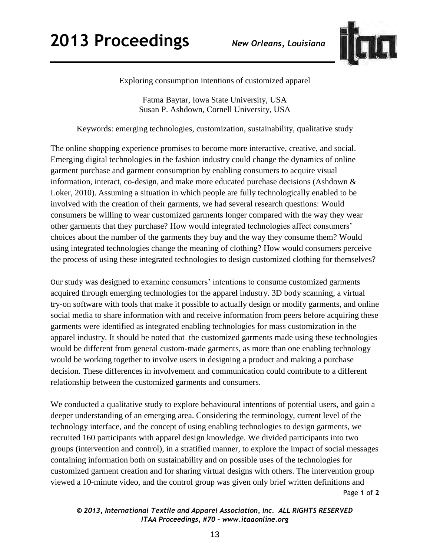## **2013 Proceedings** *New Orleans, Louisiana*



Exploring consumption intentions of customized apparel

Fatma Baytar, Iowa State University, USA Susan P. Ashdown, Cornell University, USA

Keywords: emerging technologies, customization, sustainability, qualitative study

The online shopping experience promises to become more interactive, creative, and social. Emerging digital technologies in the fashion industry could change the dynamics of online garment purchase and garment consumption by enabling consumers to acquire visual information, interact, co-design, and make more educated purchase decisions (Ashdown & Loker, 2010). Assuming a situation in which people are fully technologically enabled to be involved with the creation of their garments, we had several research questions: Would consumers be willing to wear customized garments longer compared with the way they wear other garments that they purchase? How would integrated technologies affect consumers' choices about the number of the garments they buy and the way they consume them? Would using integrated technologies change the meaning of clothing? How would consumers perceive the process of using these integrated technologies to design customized clothing for themselves?

Our study was designed to examine consumers' intentions to consume customized garments acquired through emerging technologies for the apparel industry. 3D body scanning, a virtual try-on software with tools that make it possible to actually design or modify garments, and online social media to share information with and receive information from peers before acquiring these garments were identified as integrated enabling technologies for mass customization in the apparel industry. It should be noted that the customized garments made using these technologies would be different from general custom-made garments, as more than one enabling technology would be working together to involve users in designing a product and making a purchase decision. These differences in involvement and communication could contribute to a different relationship between the customized garments and consumers.

Page **1** of **2**  We conducted a qualitative study to explore behavioural intentions of potential users, and gain a deeper understanding of an emerging area. Considering the terminology, current level of the technology interface, and the concept of using enabling technologies to design garments, we recruited 160 participants with apparel design knowledge. We divided participants into two groups (intervention and control), in a stratified manner, to explore the impact of social messages containing information both on sustainability and on possible uses of the technologies for customized garment creation and for sharing virtual designs with others. The intervention group viewed a 10-minute video, and the control group was given only brief written definitions and

*© 2013, International Textile and Apparel Association, Inc. ALL RIGHTS RESERVED ITAA Proceedings, #70 – www.itaaonline.org*